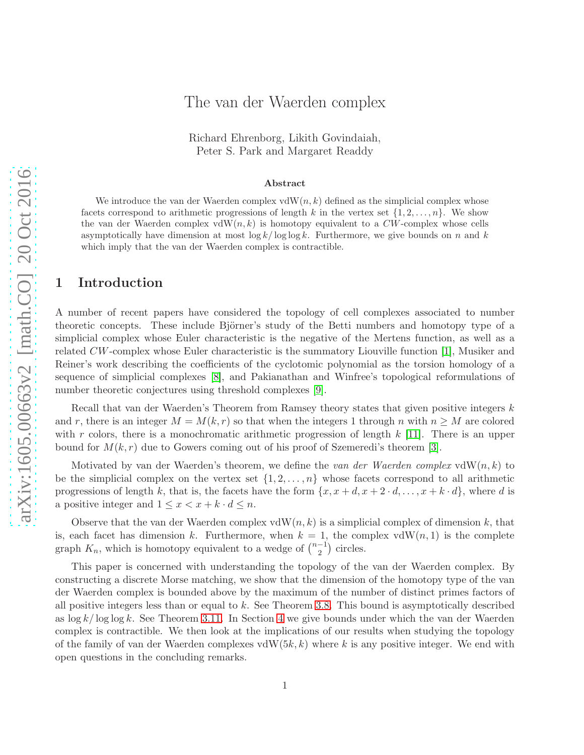# The van der Waerden complex

Richard Ehrenborg, Likith Govindaiah, Peter S. Park and Margaret Readdy

#### Abstract

We introduce the van der Waerden complex vdW $(n, k)$  defined as the simplicial complex whose facets correspond to arithmetic progressions of length k in the vertex set  $\{1, 2, \ldots, n\}$ . We show the van der Waerden complex vdW $(n, k)$  is homotopy equivalent to a CW-complex whose cells asymptotically have dimension at most  $\log k / \log \log k$ . Furthermore, we give bounds on n and k which imply that the van der Waerden complex is contractible.

### 1 Introduction

A number of recent papers have considered the topology of cell complexes associated to number theoretic concepts. These include Björner's study of the Betti numbers and homotopy type of a simplicial complex whose Euler characteristic is the negative of the Mertens function, as well as a related CW-complex whose Euler characteristic is the summatory Liouville function [\[1\]](#page-11-0), Musiker and Reiner's work describing the coefficients of the cyclotomic polynomial as the torsion homology of a sequence of simplicial complexes [\[8\]](#page-11-1), and Pakianathan and Winfree's topological reformulations of number theoretic conjectures using threshold complexes [\[9\]](#page-11-2).

Recall that van der Waerden's Theorem from Ramsey theory states that given positive integers k and r, there is an integer  $M = M(k, r)$  so that when the integers 1 through n with  $n \geq M$  are colored with r colors, there is a monochromatic arithmetic progression of length  $k$  [\[11\]](#page-11-3). There is an upper bound for  $M(k, r)$  due to Gowers coming out of his proof of Szemeredi's theorem [\[3\]](#page-11-4).

Motivated by van der Waerden's theorem, we define the *van der Waerden complex* vdW(n, k) to be the simplicial complex on the vertex set  $\{1, 2, \ldots, n\}$  whose facets correspond to all arithmetic progressions of length k, that is, the facets have the form  $\{x, x + d, x + 2 \cdot d, \ldots, x + k \cdot d\}$ , where d is a positive integer and  $1 \leq x < x + k \cdot d \leq n$ .

Observe that the van der Waerden complex vdW $(n, k)$  is a simplicial complex of dimension k, that is, each facet has dimension k. Furthermore, when  $k = 1$ , the complex vdW $(n, 1)$  is the complete graph  $K_n$ , which is homotopy equivalent to a wedge of  $\binom{n-1}{2}$  $\binom{-1}{2}$  circles.

This paper is concerned with understanding the topology of the van der Waerden complex. By constructing a discrete Morse matching, we show that the dimension of the homotopy type of the van der Waerden complex is bounded above by the maximum of the number of distinct primes factors of all positive integers less than or equal to k. See Theorem [3.8.](#page-4-0) This bound is asymptotically described as  $\log k / \log \log k$ . See Theorem [3.11.](#page-5-0) In Section [4](#page-5-1) we give bounds under which the van der Waerden complex is contractible. We then look at the implications of our results when studying the topology of the family of van der Waerden complexes vdW $(5k, k)$  where k is any positive integer. We end with open questions in the concluding remarks.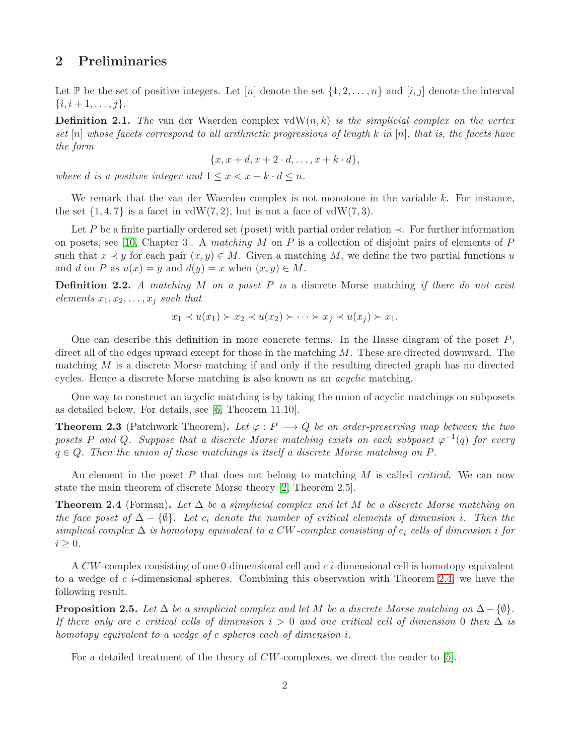#### 2 Preliminaries

Let P be the set of positive integers. Let  $[n]$  denote the set  $\{1, 2, \ldots, n\}$  and  $[i, j]$  denote the interval  $\{i, i+1, \ldots, j\}.$ 

Definition 2.1. *The* van der Waerden complex vdW(n, k) *is the simplicial complex on the vertex set* [n] *whose facets correspond to all arithmetic progressions of length* k *in* [n]*, that is, the facets have the form*

$$
\{x, x+d, x+2 \cdot d, \dots, x+k \cdot d\},\
$$

*where d is a positive integer and*  $1 \leq x < x + k \cdot d \leq n$ *.* 

We remark that the van der Waerden complex is not monotone in the variable  $k$ . For instance, the set  $\{1,4,7\}$  is a facet in vdW(7,2), but is not a face of vdW(7,3).

Let P be a finite partially ordered set (poset) with partial order relation  $\prec$ . For further information on posets, see [\[10,](#page-11-5) Chapter 3]. A *matching* M on P is a collection of disjoint pairs of elements of P such that  $x \prec y$  for each pair  $(x, y) \in M$ . Given a matching M, we define the two partial functions u and d on P as  $u(x) = y$  and  $d(y) = x$  when  $(x, y) \in M$ .

Definition 2.2. *A matching* M *on a poset* P *is* a discrete Morse matching *if there do not exist elements*  $x_1, x_2, \ldots, x_j$  *such that* 

$$
x_1 \prec u(x_1) \succ x_2 \prec u(x_2) \succ \cdots \succ x_j \prec u(x_j) \succ x_1.
$$

One can describe this definition in more concrete terms. In the Hasse diagram of the poset  $P$ , direct all of the edges upward except for those in the matching  $M$ . These are directed downward. The matching  $M$  is a discrete Morse matching if and only if the resulting directed graph has no directed cycles. Hence a discrete Morse matching is also known as an *acyclic* matching.

One way to construct an acyclic matching is by taking the union of acyclic matchings on subposets as detailed below. For details, see [\[6,](#page-11-6) Theorem 11.10].

<span id="page-1-1"></span>**Theorem 2.3** (Patchwork Theorem). Let  $\varphi : P \longrightarrow Q$  be an order-preserving map between the two *posets* P and Q. Suppose that a discrete Morse matching exists on each subposet  $\varphi^{-1}(q)$  for every  $q \in Q$ . Then the union of these matchings is itself a discrete Morse matching on P.

An element in the poset P that does not belong to matching M is called *critical*. We can now state the main theorem of discrete Morse theory [\[2,](#page-11-7) Theorem 2.5].

<span id="page-1-0"></span>Theorem 2.4 (Forman). *Let* ∆ *be a simplicial complex and let* M *be a discrete Morse matching on the face poset of*  $\Delta - \{\emptyset\}$ *. Let*  $c_i$  *denote the number of critical elements of dimension i*. Then the *simplical complex* ∆ *is homotopy equivalent to a* CW*-complex consisting of* c<sup>i</sup> *cells of dimension* i *for*  $i \geq 0$ .

A  $CW$ -complex consisting of one 0-dimensional cell and  $c\dot{i}$ -dimensional cell is homotopy equivalent to a wedge of c *i*-dimensional spheres. Combining this observation with Theorem [2.4,](#page-1-0) we have the following result.

<span id="page-1-2"></span>**Proposition 2.5.** *Let*  $\Delta$  *be a simplicial complex and let* M *be a discrete Morse matching on*  $\Delta - \{\emptyset\}$ *. If there only are c critical cells of dimension*  $i > 0$  *and one critical cell of dimension* 0 *then*  $\Delta$  *is homotopy equivalent to a wedge of* c *spheres each of dimension* i*.*

For a detailed treatment of the theory of CW-complexes, we direct the reader to [\[5\]](#page-11-8).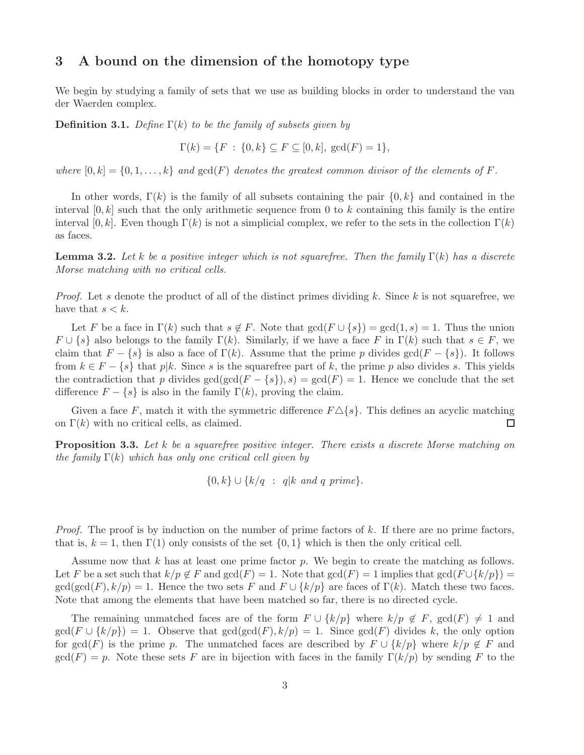# <span id="page-2-2"></span>3 A bound on the dimension of the homotopy type

We begin by studying a family of sets that we use as building blocks in order to understand the van der Waerden complex.

**Definition 3.1.** *Define*  $\Gamma(k)$  *to be the family of subsets given by* 

$$
\Gamma(k) = \{ F : \{ 0, k \} \subseteq F \subseteq [0, k], \, \gcd(F) = 1 \},
$$

*where*  $[0, k] = \{0, 1, \ldots, k\}$  *and*  $gcd(F)$  *denotes the greatest common divisor of the elements of* F.

In other words,  $\Gamma(k)$  is the family of all subsets containing the pair  $\{0, k\}$  and contained in the interval  $[0, k]$  such that the only arithmetic sequence from 0 to k containing this family is the entire interval [0, k]. Even though  $\Gamma(k)$  is not a simplicial complex, we refer to the sets in the collection  $\Gamma(k)$ as faces.

<span id="page-2-0"></span>**Lemma 3.2.** Let k be a positive integer which is not squarefree. Then the family  $\Gamma(k)$  has a discrete *Morse matching with no critical cells.*

*Proof.* Let s denote the product of all of the distinct primes dividing k. Since k is not squarefree, we have that  $s < k$ .

Let F be a face in  $\Gamma(k)$  such that  $s \notin F$ . Note that  $gcd(F \cup \{s\}) = gcd(1, s) = 1$ . Thus the union  $F \cup \{s\}$  also belongs to the family  $\Gamma(k)$ . Similarly, if we have a face F in  $\Gamma(k)$  such that  $s \in F$ , we claim that  $F - \{s\}$  is also a face of  $\Gamma(k)$ . Assume that the prime p divides  $gcd(F - \{s\})$ . It follows from  $k \in F - \{s\}$  that  $p|k$ . Since s is the squarefree part of k, the prime p also divides s. This yields the contradiction that p divides  $gcd(gcd(F - \{s\}), s) = gcd(F) = 1$ . Hence we conclude that the set difference  $F - \{s\}$  is also in the family  $\Gamma(k)$ , proving the claim.

Given a face F, match it with the symmetric difference  $F \Delta \{s\}$ . This defines an acyclic matching on  $\Gamma(k)$  with no critical cells, as claimed.  $\Box$ 

<span id="page-2-1"></span>Proposition 3.3. *Let* k *be a squarefree positive integer. There exists a discrete Morse matching on the family* Γ(k) *which has only one critical cell given by*

{0, k} ∪ {k/q : q|k *and* q *prime*}.

*Proof.* The proof is by induction on the number of prime factors of k. If there are no prime factors, that is,  $k = 1$ , then  $\Gamma(1)$  only consists of the set  $\{0, 1\}$  which is then the only critical cell.

Assume now that  $k$  has at least one prime factor  $p$ . We begin to create the matching as follows. Let F be a set such that  $k/p \notin F$  and  $gcd(F) = 1$ . Note that  $gcd(F) = 1$  implies that  $gcd(F \cup \{k/p\}) =$  $gcd(gcd(F), k/p) = 1$ . Hence the two sets F and  $F \cup \{k/p\}$  are faces of  $\Gamma(k)$ . Match these two faces. Note that among the elements that have been matched so far, there is no directed cycle.

The remaining unmatched faces are of the form  $F \cup \{k/p\}$  where  $k/p \notin F$ ,  $gcd(F) \neq 1$  and  $gcd(F \cup \{k/p\}) = 1$ . Observe that  $gcd(gcd(F), k/p) = 1$ . Since  $gcd(F)$  divides k, the only option for  $gcd(F)$  is the prime p. The unmatched faces are described by  $F \cup \{k/p\}$  where  $k/p \notin F$  and  $gcd(F) = p$ . Note these sets F are in bijection with faces in the family  $\Gamma(k/p)$  by sending F to the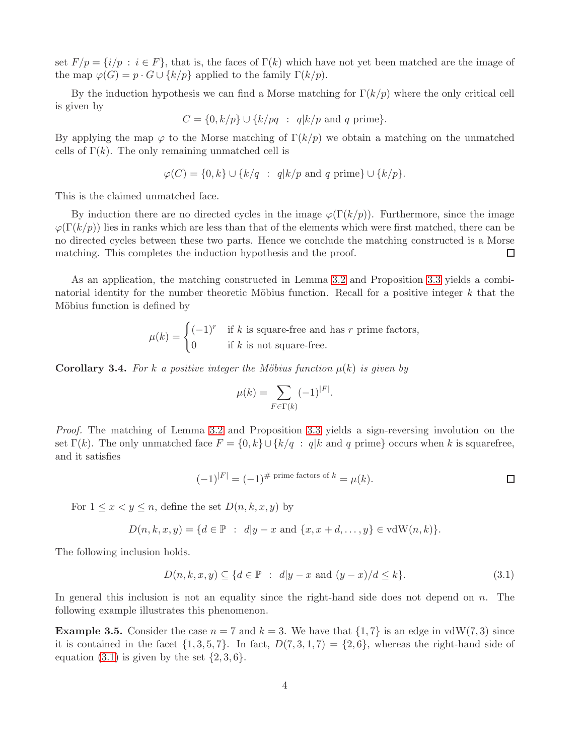set  $F/p = \{i/p : i \in F\}$ , that is, the faces of  $\Gamma(k)$  which have not yet been matched are the image of the map  $\varphi(G) = p \cdot G \cup \{k/p\}$  applied to the family  $\Gamma(k/p)$ .

By the induction hypothesis we can find a Morse matching for  $\Gamma(k/p)$  where the only critical cell is given by

 $C = \{0, k/p\} \cup \{k/pq : q|k/p \text{ and } q \text{ prime}\}.$ 

By applying the map  $\varphi$  to the Morse matching of  $\Gamma(k/p)$  we obtain a matching on the unmatched cells of  $\Gamma(k)$ . The only remaining unmatched cell is

$$
\varphi(C) = \{0, k\} \cup \{k/q \ : \ q|k/p \text{ and } q \text{ prime}\} \cup \{k/p\}.
$$

This is the claimed unmatched face.

By induction there are no directed cycles in the image  $\varphi(\Gamma(k/p))$ . Furthermore, since the image  $\varphi(\Gamma(k/p))$  lies in ranks which are less than that of the elements which were first matched, there can be no directed cycles between these two parts. Hence we conclude the matching constructed is a Morse matching. This completes the induction hypothesis and the proof.  $\Box$ 

As an application, the matching constructed in Lemma [3.2](#page-2-0) and Proposition [3.3](#page-2-1) yields a combinatorial identity for the number theoretic Möbius function. Recall for a positive integer  $k$  that the Möbius function is defined by

> $\mu(k) = \begin{cases} (-1)^r & \text{if } k \text{ is square-free and has } r \text{ prime factors,} \\ 0 & \text{if } k \text{ is square-free and has } r \end{cases}$ 0 if k is not square-free.

**Corollary 3.4.** For k a positive integer the Möbius function  $\mu(k)$  is given by

$$
\mu(k) = \sum_{F \in \Gamma(k)} (-1)^{|F|}.
$$

*Proof.* The matching of Lemma [3.2](#page-2-0) and Proposition [3.3](#page-2-1) yields a sign-reversing involution on the set  $\Gamma(k)$ . The only unmatched face  $F = \{0, k\} \cup \{k/q : q|k \text{ and } q \text{ prime}\}$  occurs when k is squarefree, and it satisfies

$$
(-1)^{|F|} = (-1)^{\# \text{ prime factors of } k} = \mu(k).
$$

For  $1 \leq x \leq y \leq n$ , define the set  $D(n, k, x, y)$  by

$$
D(n, k, x, y) = \{d \in \mathbb{P} : d|y - x \text{ and } \{x, x + d, \dots, y\} \in \text{vdW}(n, k)\}.
$$

The following inclusion holds.

<span id="page-3-0"></span>
$$
D(n,k,x,y) \subseteq \{d \in \mathbb{P} : d|y-x \text{ and } (y-x)/d \le k\}. \tag{3.1}
$$

In general this inclusion is not an equality since the right-hand side does not depend on  $n$ . The following example illustrates this phenomenon.

**Example 3.5.** Consider the case  $n = 7$  and  $k = 3$ . We have that  $\{1, 7\}$  is an edge in vdW(7, 3) since it is contained in the facet  $\{1, 3, 5, 7\}$ . In fact,  $D(7, 3, 1, 7) = \{2, 6\}$ , whereas the right-hand side of equation  $(3.1)$  is given by the set  $\{2,3,6\}$ .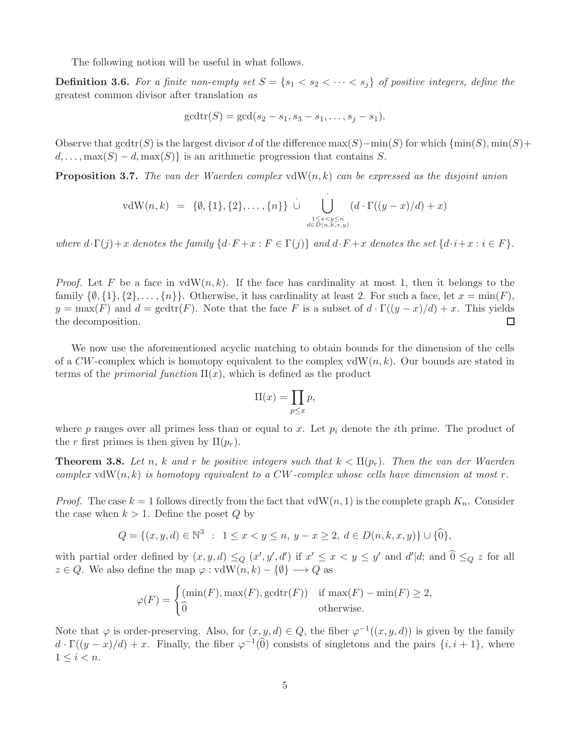The following notion will be useful in what follows.

**Definition 3.6.** For a finite non-empty set  $S = \{s_1 < s_2 < \cdots < s_j\}$  of positive integers, define the greatest common divisor after translation *as*

$$
gcdtr(S) = gcd(s_2 - s_1, s_3 - s_1, \ldots, s_j - s_1).
$$

Observe that gcdtr(S) is the largest divisor d of the difference  $\max(S)$ −min(S) for which {min(S), min(S)+  $d, \ldots, \max(S) - d, \max(S)$  is an arithmetic progression that contains S.

<span id="page-4-1"></span>Proposition 3.7. *The van der Waerden complex* vdW(n, k) *can be expressed as the disjoint union*

vdW(n,k) = {
$$
\emptyset
$$
, {1}, {2},..., {n}  $\bigcup_{\substack{1 \le x < y \le n \\ d \in D(n,k,x,y)}} (d \cdot \Gamma((y-x)/d) + x)$ 

*where*  $d \cdot \Gamma(j) + x$  *denotes the family*  $\{d \cdot F + x : F \in \Gamma(j)\}$  *and*  $d \cdot F + x$  *denotes the set*  $\{d \cdot i + x : i \in F\}$ *.* 

*Proof.* Let F be a face in  $vdW(n, k)$ . If the face has cardinality at most 1, then it belongs to the family  $\{\emptyset, \{1\}, \{2\}, \ldots, \{n\}\}\.$  Otherwise, it has cardinality at least 2. For such a face, let  $x = \min(F)$ ,  $y = \max(F)$  and  $d = \text{gcdtr}(F)$ . Note that the face F is a subset of  $d \cdot \Gamma((y-x)/d) + x$ . This yields the decomposition.  $\Box$ 

We now use the aforementioned acyclic matching to obtain bounds for the dimension of the cells of a  $CW$ -complex which is homotopy equivalent to the complex vdW $(n, k)$ . Our bounds are stated in terms of the *primorial function*  $\Pi(x)$ , which is defined as the product

$$
\Pi(x) = \prod_{p \le x} p,
$$

where p ranges over all primes less than or equal to x. Let  $p_i$  denote the *i*th prime. The product of the r first primes is then given by  $\Pi(p_r)$ .

<span id="page-4-0"></span>**Theorem 3.8.** Let n, k and r be positive integers such that  $k < \Pi(p_r)$ . Then the van der Waerden *complex*  $vdW(n, k)$  *is homotopy equivalent to a CW-complex whose cells have dimension at most* r.

*Proof.* The case  $k = 1$  follows directly from the fact that  $vdW(n, 1)$  is the complete graph  $K_n$ . Consider the case when  $k > 1$ . Define the poset Q by

$$
Q = \{(x, y, d) \in \mathbb{N}^3 : 1 \le x < y \le n, y - x \ge 2, d \in D(n, k, x, y)\} \cup \{\widehat{0}\},\
$$

with partial order defined by  $(x, y, d) \leq_Q (x', y', d')$  if  $x' \leq x < y \leq y'$  and  $d'|d$ ; and  $\hat{0} \leq_Q z$  for all  $z \in Q$ . We also define the map  $\varphi : \text{vdW}(n, k) - \{\emptyset\} \longrightarrow Q$  as

$$
\varphi(F) = \begin{cases} (\min(F), \max(F), \gcd(\text{tr}(F))) & \text{if } \max(F) - \min(F) \ge 2, \\ 0 & \text{otherwise.} \end{cases}
$$

Note that  $\varphi$  is order-preserving. Also, for  $(x, y, d) \in Q$ , the fiber  $\varphi^{-1}((x, y, d))$  is given by the family  $d \cdot \Gamma((y-x)/d) + x$ . Finally, the fiber  $\varphi^{-1}(\widehat{0})$  consists of singletons and the pairs  $\{i, i + 1\}$ , where  $1 \leq i < n$ .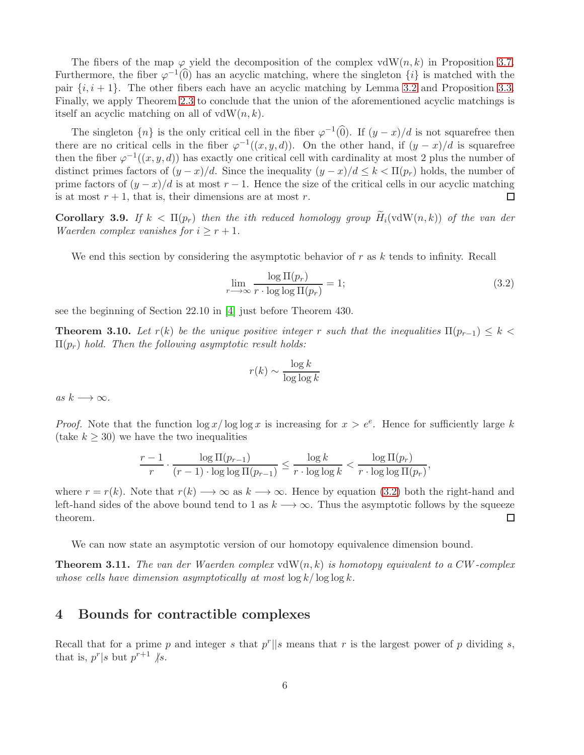The fibers of the map  $\varphi$  yield the decomposition of the complex vdW(n,k) in Proposition [3.7.](#page-4-1) Furthermore, the fiber  $\varphi^{-1}(0)$  has an acyclic matching, where the singleton  $\{i\}$  is matched with the pair  $\{i, i + 1\}$ . The other fibers each have an acyclic matching by Lemma [3.2](#page-2-0) and Proposition [3.3.](#page-2-1) Finally, we apply Theorem [2.3](#page-1-1) to conclude that the union of the aforementioned acyclic matchings is itself an acyclic matching on all of  $vdW(n, k)$ .

The singleton  $\{n\}$  is the only critical cell in the fiber  $\varphi^{-1}(0)$ . If  $(y-x)/d$  is not squarefree then there are no critical cells in the fiber  $\varphi^{-1}((x, y, d))$ . On the other hand, if  $(y - x)/d$  is squarefree then the fiber  $\varphi^{-1}((x, y, d))$  has exactly one critical cell with cardinality at most 2 plus the number of distinct primes factors of  $(y - x)/d$ . Since the inequality  $(y - x)/d \le k < \Pi(p_r)$  holds, the number of prime factors of  $(y-x)/d$  is at most  $r-1$ . Hence the size of the critical cells in our acyclic matching is at most  $r + 1$ , that is, their dimensions are at most r.  $\Box$ 

Corollary 3.9. If  $k < \Pi(p_r)$  then the ith reduced homology group  $\widetilde{H}_i(\text{vdW}(n,k))$  of the van der *Waerden complex vanishes for*  $i \geq r + 1$ *.* 

We end this section by considering the asymptotic behavior of  $r$  as  $k$  tends to infinity. Recall

<span id="page-5-2"></span>
$$
\lim_{r \to \infty} \frac{\log \Pi(p_r)}{r \cdot \log \log \Pi(p_r)} = 1;
$$
\n(3.2)

see the beginning of Section 22.10 in [\[4\]](#page-11-9) just before Theorem 430.

**Theorem 3.10.** Let  $r(k)$  be the unique positive integer r such that the inequalities  $\Pi(p_{r-1}) \leq k$ Π(pr) *hold. Then the following asymptotic result holds:*

$$
r(k) \sim \frac{\log k}{\log \log k}
$$

 $as k \longrightarrow \infty$ .

*Proof.* Note that the function  $\log x / \log \log x$  is increasing for  $x > e^e$ . Hence for sufficiently large k (take  $k \geq 30$ ) we have the two inequalities

$$
\frac{r-1}{r} \cdot \frac{\log \Pi(p_{r-1})}{(r-1) \cdot \log \log \Pi(p_{r-1})} \le \frac{\log k}{r \cdot \log \log k} < \frac{\log \Pi(p_r)}{r \cdot \log \log \Pi(p_r)},
$$

where  $r = r(k)$ . Note that  $r(k) \longrightarrow \infty$  as  $k \longrightarrow \infty$ . Hence by equation [\(3.2\)](#page-5-2) both the right-hand and left-hand sides of the above bound tend to 1 as  $k \rightarrow \infty$ . Thus the asymptotic follows by the squeeze  $\Box$ theorem.

We can now state an asymptotic version of our homotopy equivalence dimension bound.

<span id="page-5-0"></span>**Theorem 3.11.** The van der Waerden complex  $vdW(n, k)$  is homotopy equivalent to a CW-complex *whose cells have dimension asymptotically at most*  $\log k / \log \log k$ .

#### <span id="page-5-1"></span>4 Bounds for contractible complexes

Recall that for a prime p and integer s that  $p^r || s$  means that r is the largest power of p dividing s, that is,  $p^r | s$  but  $p^{r+1} \nmid s$ .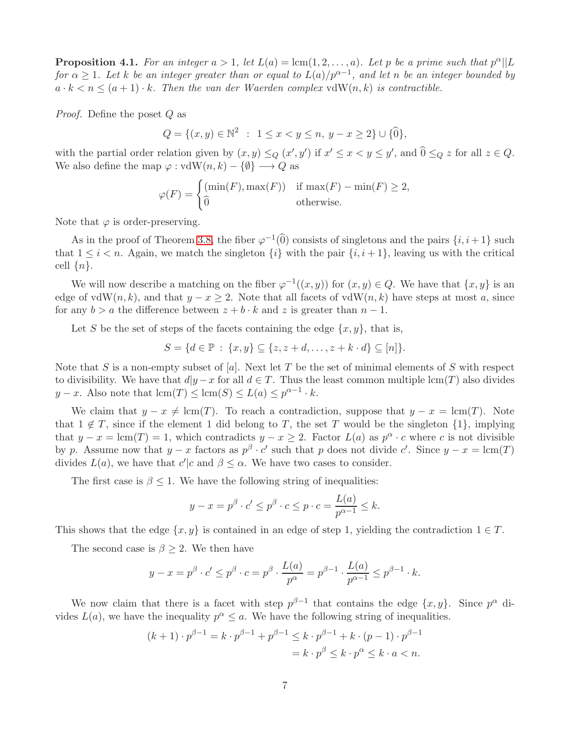<span id="page-6-0"></span>**Proposition 4.1.** For an integer  $a > 1$ , let  $L(a) = \text{lcm}(1, 2, ..., a)$ . Let p be a prime such that  $p^{\alpha}||L$ *for*  $\alpha \geq 1$ . Let k be an integer greater than or equal to  $L(a)/p^{\alpha-1}$ , and let n be an integer bounded by  $a \cdot k < n \leq (a+1) \cdot k$ . Then the van der Waerden complex vdW(n,k) is contractible.

*Proof.* Define the poset Q as

 $Q = \{ (x, y) \in \mathbb{N}^2 : 1 \le x < y \le n, y - x \ge 2 \} \cup \{ \widehat{0} \},\$ 

with the partial order relation given by  $(x, y) \leq_Q (x', y')$  if  $x' \leq x < y \leq y'$ , and  $\widehat{0} \leq_Q z$  for all  $z \in Q$ . We also define the map  $\varphi : \text{vdW}(n, k) - \{\emptyset\} \longrightarrow Q$  as

$$
\varphi(F) = \begin{cases} (\min(F), \max(F)) & \text{if } \max(F) - \min(F) \ge 2, \\ 0 & \text{otherwise.} \end{cases}
$$

Note that  $\varphi$  is order-preserving.

As in the proof of Theorem [3.8,](#page-4-0) the fiber  $\varphi^{-1}(0)$  consists of singletons and the pairs  $\{i, i+1\}$  such that  $1 \leq i < n$ . Again, we match the singleton  $\{i\}$  with the pair  $\{i, i+1\}$ , leaving us with the critical cell  $\{n\}.$ 

We will now describe a matching on the fiber  $\varphi^{-1}((x, y))$  for  $(x, y) \in Q$ . We have that  $\{x, y\}$  is an edge of vdW(n, k), and that  $y - x \ge 2$ . Note that all facets of vdW(n, k) have steps at most a, since for any  $b > a$  the difference between  $z + b \cdot k$  and z is greater than  $n - 1$ .

Let S be the set of steps of the facets containing the edge  $\{x, y\}$ , that is,

$$
S = \{d \in \mathbb{P} : \{x, y\} \subseteq \{z, z + d, \dots, z + k \cdot d\} \subseteq [n]\}.
$$

Note that S is a non-empty subset of [a]. Next let T be the set of minimal elements of S with respect to divisibility. We have that  $d|y-x|$  for all  $d \in T$ . Thus the least common multiple lcm(T) also divides  $y - x$ . Also note that  $\text{lcm}(T) \leq \text{lcm}(S) \leq L(a) \leq p^{\alpha - 1} \cdot k$ .

We claim that  $y - x \neq \text{lcm}(T)$ . To reach a contradiction, suppose that  $y - x = \text{lcm}(T)$ . Note that  $1 \notin T$ , since if the element 1 did belong to T, the set T would be the singleton  $\{1\}$ , implying that  $y - x = \text{lcm}(T) = 1$ , which contradicts  $y - x \ge 2$ . Factor  $L(a)$  as  $p^{\alpha} \cdot c$  where c is not divisible by p. Assume now that  $y - x$  factors as  $p^{\beta} \cdot c'$  such that p does not divide c'. Since  $y - x = \text{lcm}(T)$ divides  $L(a)$ , we have that  $c'|c$  and  $\beta \leq \alpha$ . We have two cases to consider.

The first case is  $\beta \leq 1$ . We have the following string of inequalities:

$$
y - x = p^{\beta} \cdot c' \le p^{\beta} \cdot c \le p \cdot c = \frac{L(a)}{p^{\alpha - 1}} \le k.
$$

This shows that the edge  $\{x, y\}$  is contained in an edge of step 1, yielding the contradiction  $1 \in T$ .

The second case is  $\beta \geq 2$ . We then have

$$
y - x = p^{\beta} \cdot c' \leq p^{\beta} \cdot c = p^{\beta} \cdot \frac{L(a)}{p^{\alpha}} = p^{\beta - 1} \cdot \frac{L(a)}{p^{\alpha - 1}} \leq p^{\beta - 1} \cdot k.
$$

We now claim that there is a facet with step  $p^{\beta-1}$  that contains the edge  $\{x, y\}$ . Since  $p^{\alpha}$  divides  $L(a)$ , we have the inequality  $p^{\alpha} \leq a$ . We have the following string of inequalities.

$$
(k+1) \cdot p^{\beta-1} = k \cdot p^{\beta-1} + p^{\beta-1} \le k \cdot p^{\beta-1} + k \cdot (p-1) \cdot p^{\beta-1}
$$

$$
= k \cdot p^{\beta} \le k \cdot p^{\alpha} \le k \cdot a < n.
$$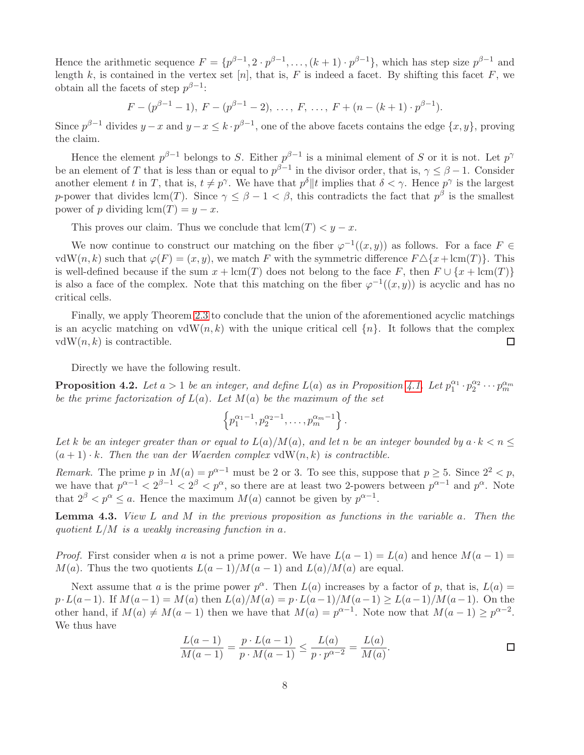Hence the arithmetic sequence  $F = \{p^{\beta-1}, 2 \cdot p^{\beta-1}, \ldots, (k+1) \cdot p^{\beta-1}\},\$  which has step size  $p^{\beta-1}$  and length k, is contained in the vertex set [n], that is, F is indeed a facet. By shifting this facet F, we obtain all the facets of step  $p^{\beta-1}$ :

 $F - (p^{\beta-1} - 1), F - (p^{\beta-1} - 2), \ldots, F, \ldots, F + (n - (k+1) \cdot p^{\beta-1}).$ 

Since  $p^{\beta-1}$  divides  $y-x$  and  $y-x \leq k \cdot p^{\beta-1}$ , one of the above facets contains the edge  $\{x, y\}$ , proving the claim.

Hence the element  $p^{\beta-1}$  belongs to S. Either  $p^{\beta-1}$  is a minimal element of S or it is not. Let  $p^{\gamma}$ be an element of T that is less than or equal to  $p^{\beta-1}$  in the divisor order, that is,  $\gamma \leq \beta - 1$ . Consider another element t in T, that is,  $t \neq p^{\gamma}$ . We have that  $p^{\delta} || t$  implies that  $\delta < \gamma$ . Hence  $p^{\gamma}$  is the largest p-power that divides  $\text{lcm}(T)$ . Since  $\gamma \leq \beta - 1 < \beta$ , this contradicts the fact that  $p^{\beta}$  is the smallest power of p dividing  $\text{lcm}(T) = y - x$ .

This proves our claim. Thus we conclude that  $lcm(T) < y - x$ .

We now continue to construct our matching on the fiber  $\varphi^{-1}((x, y))$  as follows. For a face  $F \in$ vdW(n, k) such that  $\varphi(F) = (x, y)$ , we match F with the symmetric difference  $F \Delta \{x + \text{lcm}(T)\}\$ . This is well-defined because if the sum  $x + \text{lcm}(T)$  does not belong to the face F, then  $F \cup \{x + \text{lcm}(T)\}\$ is also a face of the complex. Note that this matching on the fiber  $\varphi^{-1}((x, y))$  is acyclic and has no critical cells.

Finally, we apply Theorem [2.3](#page-1-1) to conclude that the union of the aforementioned acyclic matchings is an acyclic matching on  $vdW(n, k)$  with the unique critical cell  $\{n\}$ . It follows that the complex  $vdW(n, k)$  is contractible.  $\Box$ 

Directly we have the following result.

<span id="page-7-1"></span>**Proposition 4.2.** Let  $a > 1$  be an integer, and define  $L(a)$  as in Proposition [4.1.](#page-6-0) Let  $p_1^{\alpha_1} \cdot p_2^{\alpha_2} \cdots p_m^{\alpha_m}$ *be the prime factorization of*  $L(a)$ *. Let*  $M(a)$  *be the maximum of the set* 

$$
\left\{p_1^{\alpha_1-1}, p_2^{\alpha_2-1}, \ldots, p_m^{\alpha_m-1}\right\}.
$$

Let k be an integer greater than or equal to  $L(a)/M(a)$ , and let n be an integer bounded by  $a \cdot k < n \leq$  $(a + 1) \cdot k$ . Then the van der Waerden complex vdW $(n, k)$  is contractible.

*Remark.* The prime p in  $M(a) = p^{\alpha-1}$  must be 2 or 3. To see this, suppose that  $p \ge 5$ . Since  $2^2 < p$ , we have that  $p^{\alpha-1} < 2^{\beta-1} < 2^{\beta} < p^{\alpha}$ , so there are at least two 2-powers between  $p^{\alpha-1}$  and  $p^{\alpha}$ . Note that  $2^{\beta} < p^{\alpha} \le a$ . Hence the maximum  $M(a)$  cannot be given by  $p^{\alpha-1}$ .

<span id="page-7-0"></span>Lemma 4.3. *View* L *and* M *in the previous proposition as functions in the variable* a*. Then the quotient* L/M *is a weakly increasing function in* a*.*

*Proof.* First consider when a is not a prime power. We have  $L(a-1) = L(a)$  and hence  $M(a-1) =$  $M(a)$ . Thus the two quotients  $L(a-1)/M(a-1)$  and  $L(a)/M(a)$  are equal.

Next assume that a is the prime power  $p^{\alpha}$ . Then  $L(a)$  increases by a factor of p, that is,  $L(a)$  =  $p \cdot L(a-1)$ . If  $M(a-1) = M(a)$  then  $L(a)/M(a) = p \cdot L(a-1)/M(a-1) \geq L(a-1)/M(a-1)$ . On the other hand, if  $M(a) \neq M(a - 1)$  then we have that  $M(a) = p^{\alpha-1}$ . Note now that  $M(a - 1) \geq p^{\alpha-2}$ . We thus have

$$
\frac{L(a-1)}{M(a-1)} = \frac{p \cdot L(a-1)}{p \cdot M(a-1)} \le \frac{L(a)}{p \cdot p^{\alpha-2}} = \frac{L(a)}{M(a)}.
$$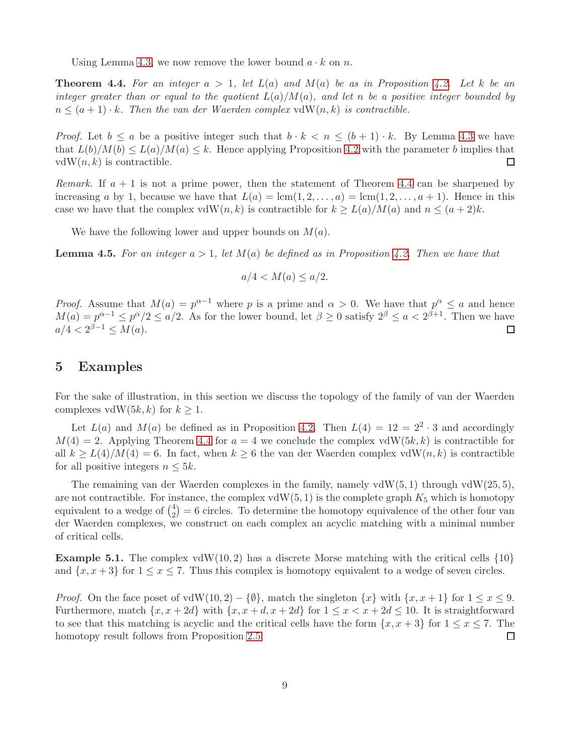Using Lemma [4.3,](#page-7-0) we now remove the lower bound  $a \cdot k$  on n.

<span id="page-8-0"></span>**Theorem 4.4.** For an integer  $a > 1$ , let  $L(a)$  and  $M(a)$  be as in Proposition [4.2.](#page-7-1) Let k be an *integer greater than or equal to the quotient* L(a)/M(a)*, and let* n *be a positive integer bounded by*  $n \leq (a+1) \cdot k$ . Then the van der Waerden complex vdW(n, k) is contractible.

*Proof.* Let  $b \le a$  be a positive integer such that  $b \cdot k < n \le (b+1) \cdot k$ . By Lemma [4.3](#page-7-0) we have that  $L(b)/M(b) \leq L(a)/M(a) \leq k$ . Hence applying Proposition [4.2](#page-7-1) with the parameter b implies that  $\Box$  $vdW(n, k)$  is contractible.

*Remark.* If  $a + 1$  is not a prime power, then the statement of Theorem [4.4](#page-8-0) can be sharpened by increasing a by 1, because we have that  $L(a) = \text{lcm}(1, 2, \ldots, a) = \text{lcm}(1, 2, \ldots, a + 1)$ . Hence in this case we have that the complex vdW(n, k) is contractible for  $k \ge L(a)/M(a)$  and  $n \le (a+2)k$ .

We have the following lower and upper bounds on  $M(a)$ .

**Lemma 4.5.** For an integer  $a > 1$ , let  $M(a)$  be defined as in Proposition [4.2.](#page-7-1) Then we have that

$$
a/4 < M(a) \le a/2.
$$

*Proof.* Assume that  $M(a) = p^{\alpha-1}$  where p is a prime and  $\alpha > 0$ . We have that  $p^{\alpha} \leq a$  and hence  $M(a) = p^{\alpha-1} \leq p^{\alpha}/2 \leq a/2$ . As for the lower bound, let  $\beta \geq 0$  satisfy  $2^{\beta} \leq a < 2^{\beta+1}$ . Then we have  $a/4 < 2^{\beta - 1} \le M(a)$ .

#### <span id="page-8-2"></span>5 Examples

For the sake of illustration, in this section we discuss the topology of the family of van der Waerden complexes vdW(5k, k) for  $k \geq 1$ .

Let  $L(a)$  and  $M(a)$  be defined as in Proposition [4.2.](#page-7-1) Then  $L(4) = 12 = 2^2 \cdot 3$  and accordingly  $M(4) = 2$ . Applying Theorem [4.4](#page-8-0) for  $a = 4$  we conclude the complex vdW(5k, k) is contractible for all  $k \ge L(4)/M(4) = 6$ . In fact, when  $k \ge 6$  the van der Waerden complex vdW $(n, k)$  is contractible for all positive integers  $n \leq 5k$ .

The remaining van der Waerden complexes in the family, namely  $vdW(5, 1)$  through  $vdW(25, 5)$ , are not contractible. For instance, the complex  $vdW(5, 1)$  is the complete graph  $K_5$  which is homotopy equivalent to a wedge of  $\binom{4}{2}$  $\binom{4}{2}$  = 6 circles. To determine the homotopy equivalence of the other four van der Waerden complexes, we construct on each complex an acyclic matching with a minimal number of critical cells.

<span id="page-8-1"></span>**Example 5.1.** The complex vdW(10, 2) has a discrete Morse matching with the critical cells  $\{10\}$ and  $\{x, x+3\}$  for  $1 \le x \le 7$ . Thus this complex is homotopy equivalent to a wedge of seven circles.

*Proof.* On the face poset of vdW(10, 2) – { $\emptyset$ }, match the singleton  $\{x\}$  with  $\{x, x + 1\}$  for  $1 \le x \le 9$ . Furthermore, match  $\{x, x + 2d\}$  with  $\{x, x + d, x + 2d\}$  for  $1 \le x < x + 2d \le 10$ . It is straightforward to see that this matching is acyclic and the critical cells have the form  $\{x, x + 3\}$  for  $1 \le x \le 7$ . The homotopy result follows from Proposition [2.5.](#page-1-2)  $\Box$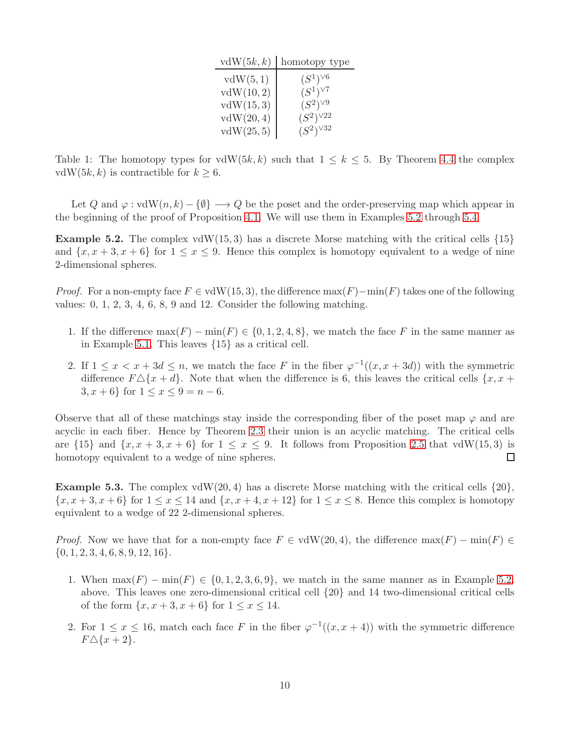| vdW(5k, k) | homotopy type     |
|------------|-------------------|
| vdW(5,1)   | $(S^1)^{\vee 6}$  |
| vdW(10,2)  | $(S^1)^{\vee 7}$  |
| vdW(15,3)  | $(S^2)^{\vee 9}$  |
| vdW(20,4)  | $(S^2)^{\vee 22}$ |
| vdW(25,5)  | $(S^2)^{\vee 32}$ |

Table 1: The homotopy types for  $vdW(5k, k)$  such that  $1 \leq k \leq 5$ . By Theorem [4.4](#page-8-0) the complex vdW(5k, k) is contractible for  $k \geq 6$ .

Let Q and  $\varphi : \text{vdW}(n, k) - \{\emptyset\} \longrightarrow Q$  be the poset and the order-preserving map which appear in the beginning of the proof of Proposition [4.1.](#page-6-0) We will use them in Examples [5.2](#page-9-0) through [5.4.](#page-10-0)

<span id="page-9-0"></span>**Example 5.2.** The complex vdW(15,3) has a discrete Morse matching with the critical cells  $\{15\}$ and  $\{x, x+3, x+6\}$  for  $1 \le x \le 9$ . Hence this complex is homotopy equivalent to a wedge of nine 2-dimensional spheres.

*Proof.* For a non-empty face  $F \in \text{vdW}(15, 3)$ , the difference  $\max(F) - \min(F)$  takes one of the following values: 0, 1, 2, 3, 4, 6, 8, 9 and 12. Consider the following matching.

- 1. If the difference  $\max(F) \min(F) \in \{0, 1, 2, 4, 8\}$ , we match the face F in the same manner as in Example [5.1.](#page-8-1) This leaves {15} as a critical cell.
- 2. If  $1 \leq x < x + 3d \leq n$ , we match the face F in the fiber  $\varphi^{-1}((x, x + 3d))$  with the symmetric difference  $F \Delta \{x + d\}$ . Note that when the difference is 6, this leaves the critical cells  $\{x, x + d\}$ 3,  $x + 6$ } for  $1 \le x \le 9 = n - 6$ .

Observe that all of these matchings stay inside the corresponding fiber of the poset map  $\varphi$  and are acyclic in each fiber. Hence by Theorem [2.3](#page-1-1) their union is an acyclic matching. The critical cells are  $\{15\}$  and  $\{x, x + 3, x + 6\}$  for  $1 \leq x \leq 9$ . It follows from Proposition [2.5](#page-1-2) that vdW(15,3) is homotopy equivalent to a wedge of nine spheres.  $\Box$ 

<span id="page-9-1"></span>**Example 5.3.** The complex vdW(20,4) has a discrete Morse matching with the critical cells  $\{20\}$ ,  $\{x, x+3, x+6\}$  for  $1 \leq x \leq 14$  and  $\{x, x+4, x+12\}$  for  $1 \leq x \leq 8$ . Hence this complex is homotopy equivalent to a wedge of 22 2-dimensional spheres.

*Proof.* Now we have that for a non-empty face  $F \in \text{vdW}(20, 4)$ , the difference  $\max(F) - \min(F) \in$  $\{0, 1, 2, 3, 4, 6, 8, 9, 12, 16\}.$ 

- 1. When  $\max(F) \min(F) \in \{0, 1, 2, 3, 6, 9\}$ , we match in the same manner as in Example [5.2.](#page-9-0) above. This leaves one zero-dimensional critical cell {20} and 14 two-dimensional critical cells of the form  $\{x, x + 3, x + 6\}$  for  $1 \le x \le 14$ .
- 2. For  $1 \leq x \leq 16$ , match each face F in the fiber  $\varphi^{-1}((x, x+4))$  with the symmetric difference  $F\triangle\{x+2\}.$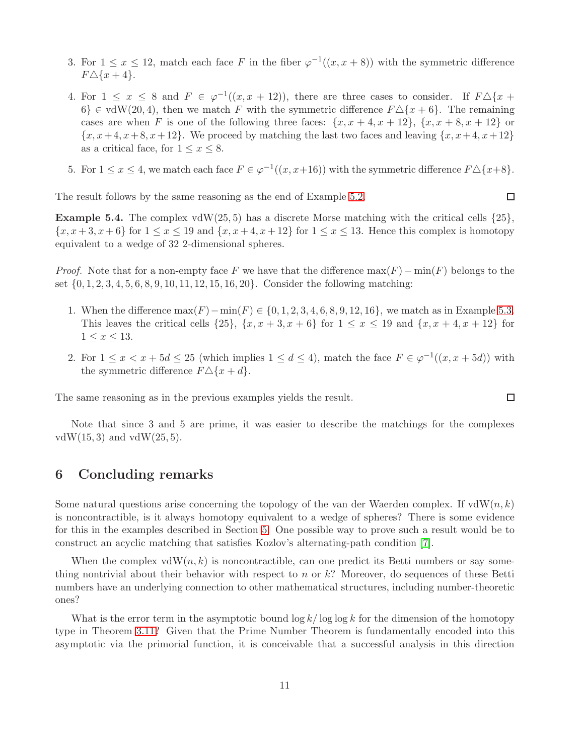- 3. For  $1 \leq x \leq 12$ , match each face F in the fiber  $\varphi^{-1}((x, x+8))$  with the symmetric difference  $F\Delta\{x+4\}.$
- 4. For  $1 \leq x \leq 8$  and  $F \in \varphi^{-1}((x, x + 12))$ , there are three cases to consider. If  $F \triangle \{x +$  $6$   $\in$  vdW(20, 4), then we match F with the symmetric difference  $F\Delta\{x+6\}$ . The remaining cases are when F is one of the following three faces:  $\{x, x + 4, x + 12\}$ ,  $\{x, x + 8, x + 12\}$  or  ${x, x+4, x+8, x+12}$ . We proceed by matching the last two faces and leaving  ${x, x+4, x+12}$ as a critical face, for  $1 \leq x \leq 8$ .
- 5. For  $1 \le x \le 4$ , we match each face  $F \in \varphi^{-1}((x, x+16))$  with the symmetric difference  $F \triangle \{x+8\}$ .

The result follows by the same reasoning as the end of Example [5.2.](#page-9-0)

<span id="page-10-0"></span>**Example 5.4.** The complex vdW(25,5) has a discrete Morse matching with the critical cells  $\{25\}$ ,  $\{x, x+3, x+6\}$  for  $1 \le x \le 19$  and  $\{x, x+4, x+12\}$  for  $1 \le x \le 13$ . Hence this complex is homotopy equivalent to a wedge of 32 2-dimensional spheres.

*Proof.* Note that for a non-empty face F we have that the difference  $max(F) - min(F)$  belongs to the set {0, 1, 2, 3, 4, 5, 6, 8, 9, 10, 11, 12, 15, 16, 20}. Consider the following matching:

- 1. When the difference  $\max(F) \min(F) \in \{0, 1, 2, 3, 4, 6, 8, 9, 12, 16\}$ , we match as in Example [5.3.](#page-9-1) This leaves the critical cells  $\{25\}$ ,  $\{x, x+3, x+6\}$  for  $1 \leq x \leq 19$  and  $\{x, x+4, x+12\}$  for  $1 \leq x \leq 13.$
- 2. For  $1 \le x < x + 5d \le 25$  (which implies  $1 \le d \le 4$ ), match the face  $F \in \varphi^{-1}((x, x + 5d))$  with the symmetric difference  $F \Delta \{x + d\}.$

The same reasoning as in the previous examples yields the result.

Note that since 3 and 5 are prime, it was easier to describe the matchings for the complexes  $vdW(15, 3)$  and  $vdW(25, 5)$ .

### 6 Concluding remarks

Some natural questions arise concerning the topology of the van der Waerden complex. If  $vdW(n, k)$ is noncontractible, is it always homotopy equivalent to a wedge of spheres? There is some evidence for this in the examples described in Section [5.](#page-8-2) One possible way to prove such a result would be to construct an acyclic matching that satisfies Kozlov's alternating-path condition [\[7\]](#page-11-10).

When the complex  $vdW(n, k)$  is noncontractible, can one predict its Betti numbers or say something nontrivial about their behavior with respect to n or  $k$ ? Moreover, do sequences of these Betti numbers have an underlying connection to other mathematical structures, including number-theoretic ones?

What is the error term in the asymptotic bound  $\log k / \log \log k$  for the dimension of the homotopy type in Theorem [3.11?](#page-5-0) Given that the Prime Number Theorem is fundamentally encoded into this asymptotic via the primorial function, it is conceivable that a successful analysis in this direction

 $\Box$ 

 $\Box$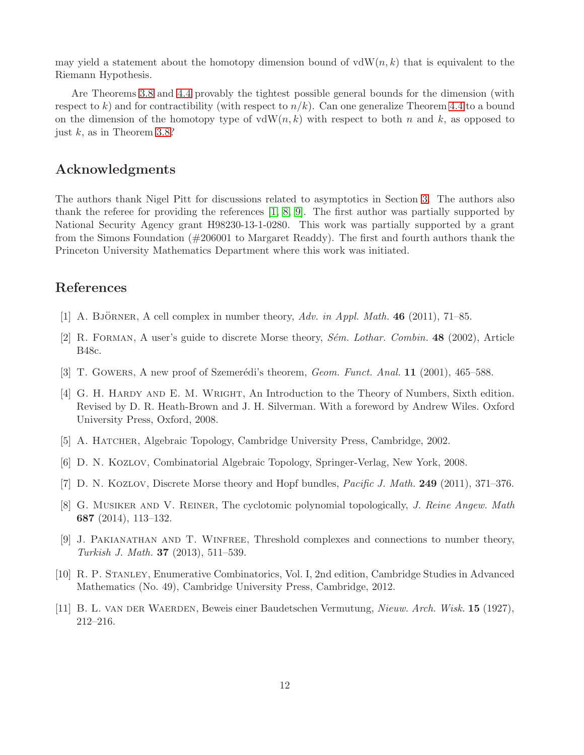may yield a statement about the homotopy dimension bound of  $vdW(n, k)$  that is equivalent to the Riemann Hypothesis.

Are Theorems [3.8](#page-4-0) and [4.4](#page-8-0) provably the tightest possible general bounds for the dimension (with respect to k) and for contractibility (with respect to  $n/k$ ). Can one generalize Theorem [4.4](#page-8-0) to a bound on the dimension of the homotopy type of  $vdW(n, k)$  with respect to both n and k, as opposed to just  $k$ , as in Theorem [3.8?](#page-4-0)

# Acknowledgments

The authors thank Nigel Pitt for discussions related to asymptotics in Section [3.](#page-2-2) The authors also thank the referee for providing the references [\[1,](#page-11-0) [8,](#page-11-1) [9\]](#page-11-2). The first author was partially supported by National Security Agency grant H98230-13-1-0280. This work was partially supported by a grant from the Simons Foundation (#206001 to Margaret Readdy). The first and fourth authors thank the Princeton University Mathematics Department where this work was initiated.

# <span id="page-11-0"></span>References

- <span id="page-11-7"></span>[1] A. BJÖRNER, A cell complex in number theory,  $Adv.$  in Appl. Math. 46 (2011), 71–85.
- <span id="page-11-4"></span>[2] R. Forman, A user's guide to discrete Morse theory, *S´em. Lothar. Combin.* 48 (2002), Article B48c.
- <span id="page-11-9"></span>[3] T. Gowers, A new proof of Szemerédi's theorem, *Geom. Funct. Anal.* **11** (2001), 465–588.
- [4] G. H. Hardy and E. M. Wright, An Introduction to the Theory of Numbers, Sixth edition. Revised by D. R. Heath-Brown and J. H. Silverman. With a foreword by Andrew Wiles. Oxford University Press, Oxford, 2008.
- <span id="page-11-8"></span><span id="page-11-6"></span>[5] A. HATCHER, Algebraic Topology, Cambridge University Press, Cambridge, 2002.
- <span id="page-11-10"></span>[6] D. N. Kozlov, Combinatorial Algebraic Topology, Springer-Verlag, New York, 2008.
- <span id="page-11-1"></span>[7] D. N. KOZLOV, Discrete Morse theory and Hopf bundles, *Pacific J. Math.* **249** (2011), 371-376.
- [8] G. Musiker and V. Reiner, The cyclotomic polynomial topologically, *J. Reine Angew. Math* 687 (2014), 113–132.
- <span id="page-11-2"></span>[9] J. Pakianathan and T. Winfree, Threshold complexes and connections to number theory, *Turkish J. Math.* 37 (2013), 511–539.
- <span id="page-11-5"></span>[10] R. P. Stanley, Enumerative Combinatorics, Vol. I, 2nd edition, Cambridge Studies in Advanced Mathematics (No. 49), Cambridge University Press, Cambridge, 2012.
- <span id="page-11-3"></span>[11] B. L. van der Waerden, Beweis einer Baudetschen Vermutung, *Nieuw. Arch. Wisk.* 15 (1927), 212–216.